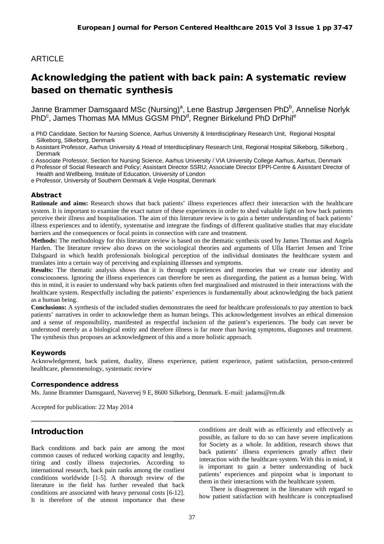# ARTICLE

# Acknowledging the patient with back pain: A systematic review based on thematic synthesis

Janne Brammer Damsgaard MSc (Nursing)<sup>a</sup>, Lene Bastrup Jørgensen PhD<sup>b</sup>, Annelise Norlyk PhD<sup>c</sup>, James Thomas MA MMus GGSM PhD<sup>d</sup>, Regner Birkelund PhD DrPhil<sup>e</sup>

- a PhD Candidate, Section for Nursing Science, Aarhus University & Interdisciplinary Research Unit, Regional Hospital Silkeborg, Silkeborg, Denmark
- b Assistant Professor, Aarhus University & Head of Interdisciplinary Research Unit, Regional Hospital Silkeborg, Silkeborg , **Denmark**

c Associate Professor, Section for Nursing Science, Aarhus University / VIA University College Aarhus, Aarhus, Denmark

d Professor of Social Research and Policy; Assistant Director SSRU; Associate Director EPPI-Centre & Assistant Director of Health and Wellbeing, Institute of Education, University of London

e Professor, University of Southern Denmark & Vejle Hospital, Denmark

#### Abstract

**Rationale and aims:** Research shows that back patients' illness experiences affect their interaction with the healthcare system. It is important to examine the exact nature of these experiences in order to shed valuable light on how back patients perceive their illness and hospitalisation. The aim of this literature review is to gain a better understanding of back patients' illness experiences and to identify, systematise and integrate the findings of different qualitative studies that may elucidate barriers and the consequences or focal points in connection with care and treatment.

**Methods:** The methodology for this literature review is based on the thematic synthesis used by James Thomas and Angela Harden. The literature review also draws on the sociological theories and arguments of Ulla Harriet Jensen and Trine Dalsgaard in which health professionals biological perception of the individual dominates the healthcare system and translates into a certain way of perceiving and explaining illnesses and symptoms.

**Results:** The thematic analysis shows that it is through experiences and memories that we create our identity and consciousness. Ignoring the illness experiences can therefore be seen as disregarding, the patient as a human being. With this in mind, it is easier to understand why back patients often feel marginalised and mistrusted in their interactions with the healthcare system. Respectfully including the patients' experiences is fundamentally about acknowledging the back patient as a human being.

**Conclusions:** A synthesis of the included studies demonstrates the need for healthcare professionals to pay attention to back patients' narratives in order to acknowledge them as human beings. This acknowledgement involves an ethical dimension and a sense of responsibility, manifested as respectful inclusion of the patient's experiences. The body can never be understood merely as a biological entity and therefore illness is far more than having symptoms, diagnoses and treatment. The synthesis thus proposes an acknowledgment of this and a more holistic approach.

### Keywords

Acknowledgement, back patient, duality, illness experience, patient experience, patient satisfaction, person-centered healthcare, phenomenology, systematic review

#### Correspondence address

Ms. Janne Brammer Damsgaard, Navervej 9 E, 8600 Silkeborg, Denmark. E-mail: jadams@rm.dk

Accepted for publication: 22 May 2014

# Introduction

Back conditions and back pain are among the most common causes of reduced working capacity and lengthy, tiring and costly illness trajectories. According to international research, back pain ranks among the costliest conditions worldwide [1-5]. A thorough review of the literature in the field has further revealed that back conditions are associated with heavy personal costs [6-12]. It is therefore of the utmost importance that these conditions are dealt with as efficiently and effectively as possible, as failure to do so can have severe implications for Society as a whole. In addition, research shows that back patients' illness experiences greatly affect their interaction with the healthcare system. With this in mind, it is important to gain a better understanding of back patients' experiences and pinpoint what is important to them in their interactions with the healthcare system.

There is disagreement in the literature with regard to how patient satisfaction with healthcare is conceptualised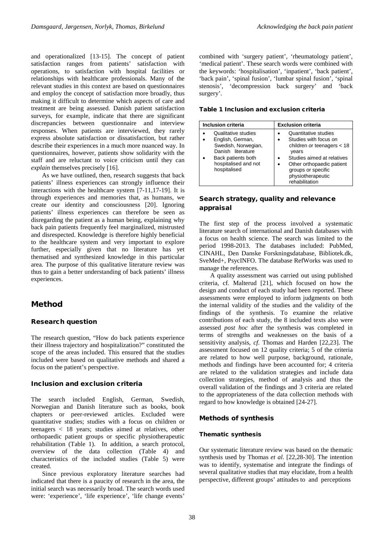and operationalized [13-15]. The concept of patient satisfaction ranges from patients' satisfaction with operations, to satisfaction with hospital facilities or relationships with healthcare professionals. Many of the relevant studies in this context are based on questionnaires and employ the concept of satisfaction more broadly, thus making it difficult to determine which aspects of care and treatment are being assessed. Danish patient satisfaction surveys, for example, indicate that there are significant discrepancies between questionnaire and interview responses. When patients are interviewed, they rarely express absolute satisfaction or dissatisfaction, but rather describe their experiences in a much more nuanced way. In questionnaires, however, patients show solidarity with the staff and are reluctant to voice criticism until they can *explain* themselves precisely [16].

As we have outlined, then, research suggests that back patients' illness experiences can strongly influence their interactions with the healthcare system [7-11,17-19]. It is through experiences and memories that, as humans, we create our identity and consciousness [20]. Ignoring patients' illness experiences can therefore be seen as disregarding the patient as a human being, explaining why back pain patients frequently feel marginalized, mistrusted and disrespected. Knowledge is therefore highly beneficial to the healthcare system and very important to explore further, especially given that no literature has yet thematised and synthesized knowledge in this particular area. The purpose of this qualitative literature review was thus to gain a better understanding of back patients' illness experiences.

# Method

### Research question

The research question, "How do back patients experience their illness trajectory and hospitalization?" constituted the scope of the areas included. This ensured that the studies included were based on qualitative methods and shared a focus on the patient's perspective.

### Inclusion and exclusion criteria

The search included English, German, Swedish, Norwegian and Danish literature such as books, book chapters or peer-reviewed articles. Excluded were quantitative studies; studies with a focus on children or teenagers < 18 years; studies aimed at relatives, other orthopaedic patient groups or specific physiotherapeutic rehabilitation (Table 1). In addition, a search protocol, overview of the data collection (Table 4) and characteristics of the included studies (Table 5) were created.

Since previous exploratory literature searches had indicated that there is a paucity of research in the area, the initial search was necessarily broad. The search words used were: 'experience', 'life experience', 'life change events'

combined with 'surgery patient', 'rheumatology patient', 'medical patient'. These search words were combined with the keywords: 'hospitalisation', 'inpatient', 'back patient', 'back pain', 'spinal fusion', 'lumbar spinal fusion', 'spinal stenosis', 'decompression back surgery' and 'back surgery'*.*

#### Table 1 Inclusion and exclusion criteria

| <b>Inclusion criteria</b>                                                                                                                         | <b>Exclusion criteria</b>                                                                                                                                                                                    |  |
|---------------------------------------------------------------------------------------------------------------------------------------------------|--------------------------------------------------------------------------------------------------------------------------------------------------------------------------------------------------------------|--|
| Qualitative studies<br>English, German,<br>Swedish, Norwegian,<br>Danish literature<br>Back patients both<br>hospitalised and not<br>hospitalised | Quantitative studies<br>Studies with focus on<br>children or teenagers < 18<br>years<br>Studies aimed at relatives<br>Other orthopaedic patient<br>groups or specific<br>physiotherapeutic<br>rehabilitation |  |

# Search strategy, quality and relevance appraisal

The first step of the process involved a systematic literature search of international and Danish databases with a focus on health science. The search was limited to the period 1998-2013. The databases included: PubMed, CINAHL, Den Danske Forskningsdatabase, Bibliotek.dk, SveMed+, PsycINFO. The database RefWorks was used to manage the references.

A quality assessment was carried out using published criteria, cf. Malterud [21], which focused on how the design and conduct of each study had been reported. These assessments were employed to inform judgments on both the internal validity of the studies and the validity of the findings of the synthesis. To examine the relative contributions of each study, the 8 included texts also were assessed *post hoc* after the synthesis was completed in terms of strengths and weaknesses on the basis of a sensitivity analysis, *cf*. Thomas and Harden [22,23]. The assessment focused on 12 quality criteria; 5 of the criteria are related to how well purpose, background, rationale, methods and findings have been accounted for; 4 criteria are related to the validation strategies and include data collection strategies, method of analysis and thus the overall validation of the findings and 3 criteria are related to the appropriateness of the data collection methods with regard to how knowledge is obtained [24-27].

### Methods of synthesis

### Thematic synthesis

Our systematic literature review was based on the thematic synthesis used by Thomas *et al*. [22,28-30]. The intention was to identify, systematise and integrate the findings of several qualitative studies that may elucidate, from a health perspective, different groups' attitudes to and perceptions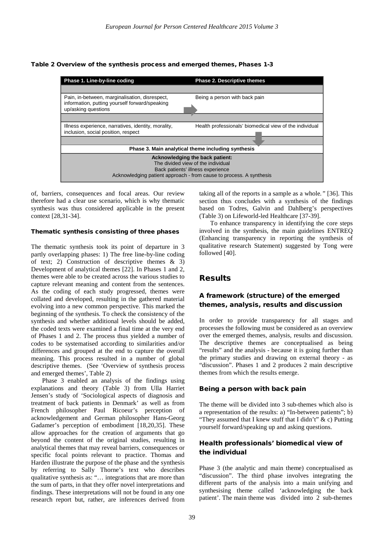Table 2 Overview of the synthesis process and emerged themes, Phases 1-3



of, barriers, consequences and focal areas. Our review therefore had a clear use scenario, which is why thematic synthesis was thus considered applicable in the present context [28,31-34].

#### Thematic synthesis consisting of three phases

The thematic synthesis took its point of departure in 3 partly overlapping phases: 1) The free line-by-line coding of text; 2) Construction of descriptive themes & 3) Development of analytical themes [22]. In Phases 1 and 2, themes were able to be created across the various studies to capture relevant meaning and content from the sentences. As the coding of each study progressed, themes were collated and developed, resulting in the gathered material evolving into a new common perspective. This marked the beginning of the synthesis. To check the consistency of the synthesis and whether additional levels should be added, the coded texts were examined a final time at the very end of Phases 1 and 2. The process thus yielded a number of codes to be systematised according to similarities and/or differences and grouped at the end to capture the overall meaning. This process resulted in a number of global descriptive themes. (See 'Overview of synthesis process and emerged themes'*,* Table 2)

Phase 3 enabled an analysis of the findings using explanations and theory (Table 3) from Ulla Harriet Jensen's study of 'Sociological aspects of diagnosis and treatment of back patients in Denmark' as well as from French philosopher Paul Ricoeur's perception of acknowledgement and German philosopher Hans-Georg Gadamer's perception of embodiment [18,20,35]. These allow approaches for the creation of arguments that go beyond the content of the original studies, resulting in analytical themes that may reveal barriers, consequences or specific focal points relevant to practice. Thomas and Harden illustrate the purpose of the phase and the synthesis by referring to Sally Thorne's text who describes qualitative synthesis as: "… integrations that are more than the sum of parts, in that they offer novel interpretations and findings. These interpretations will not be found in any one research report but, rather, are inferences derived from

taking all of the reports in a sample as a whole*."* [36]. This section thus concludes with a synthesis of the findings based on Todres, Galvin and Dahlberg's perspectives (Table 3) on Lifeworld-led Healthcare [37-39].

To enhance transparency in identifying the core steps involved in the synthesis, the main guidelines ENTREQ (Enhancing transparency in reporting the synthesis of qualitative research Statement) suggested by Tong were followed [40].

# Results

### A framework (structure) of the emerged themes, analysis, results and discussion

In order to provide transparency for all stages and processes the following must be considered as an overview over the emerged themes, analysis, results and discussion. The descriptive themes are conceptualised as being "results" and the analysis - because it is going further than the primary studies and drawing on external theory - as "discussion". Phases 1 and 2 produces 2 main descriptive themes from which the results emerge.

### Being a person with back pain

The theme will be divided into 3 sub-themes which also is a representation of the results: a) "In-between patients"; b) "They assumed that I knew stuff that I didn't"  $\& c$ ) Putting yourself forward/speaking up and asking questions.

### Health professionals' biomedical view of the individual

Phase 3 (the analytic and main theme) conceptualised as "discussion". The third phase involves integrating the different parts of the analysis into a main unifying and synthesising theme called 'acknowledging the back patient'*.* The main theme was divided into 2 sub-themes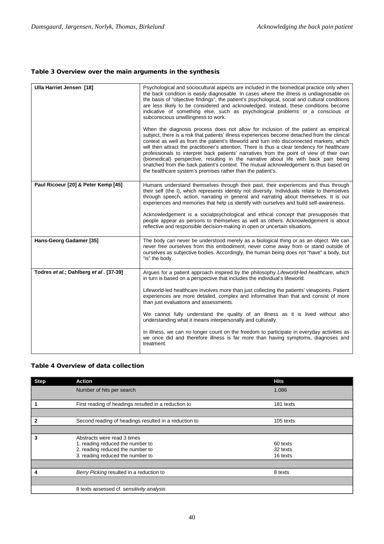### Table 3 Overview over the main arguments in the synthesis

| Ulla Harriet Jensen [18]               | Psychological and sociocultural aspects are included in the biomedical practice only when<br>the back condition is easily diagnosable. In cases where the illness is undiagnosable on<br>the basis of "objective findings", the patient's psychological, social and cultural conditions<br>are less likely to be considered and acknowledged. Instead, these conditions become<br>indicative of something else, such as psychological problems or a conscious or<br>subconscious unwillingness to work.<br>When the diagnosis process does not allow for inclusion of the patient as empirical<br>subject, there is a risk that patients' illness experiences become detached from the clinical<br>context as well as from the patient's lifeworld and turn into disconnected markers, which<br>will then attract the practitioner's attention. There is thus a clear tendency for healthcare<br>professionals to interpret back patients' narratives from the point of view of their own<br>(biomedical) perspective, resulting in the narrative about life with back pain being<br>snatched from the back patient's context. The mutual acknowledgement is thus based on<br>the healthcare system's premises rather than the patient's. |
|----------------------------------------|-------------------------------------------------------------------------------------------------------------------------------------------------------------------------------------------------------------------------------------------------------------------------------------------------------------------------------------------------------------------------------------------------------------------------------------------------------------------------------------------------------------------------------------------------------------------------------------------------------------------------------------------------------------------------------------------------------------------------------------------------------------------------------------------------------------------------------------------------------------------------------------------------------------------------------------------------------------------------------------------------------------------------------------------------------------------------------------------------------------------------------------------------------------------------------------------------------------------------------------------|
| Paul Ricoeur [20] & Peter Kemp [45]    | Humans understand themselves through their past, their experiences and thus through<br>their self (the I), which represents identity not diversity. Individuals relate to themselves<br>through speech, action, narrating in general and narrating about themselves. It is our<br>experiences and memories that help us identify with ourselves and build self-awareness.<br>Acknowledgement is a socialpsychological and ethical concept that presupposes that<br>people appear as persons to themselves as well as others. Acknowledgement is about<br>reflective and responsible decision-making in open or uncertain situations.                                                                                                                                                                                                                                                                                                                                                                                                                                                                                                                                                                                                      |
| Hans-Georg Gadamer [35]                | The body can never be understood merely as a biological thing or as an object. We can<br>never free ourselves from this embodiment, never come away from or stand outside of<br>ourselves as subjective bodies. Accordingly, the human being does not "have" a body, but<br>"is" the body.                                                                                                                                                                                                                                                                                                                                                                                                                                                                                                                                                                                                                                                                                                                                                                                                                                                                                                                                                |
| Todres et al.; Dahlberg et al. [37-39] | Argues for a patient approach inspired by the philosophy Lifeworld-led healthcare, which<br>in turn is based on a perspective that includes the individual's lifeworld.<br>Lifeworld-led healthcare involves more than just collecting the patients' viewpoints. Patient<br>experiences are more detailed, complex and informative than that and consist of more<br>than just evaluations and assessments.<br>We cannot fully understand the quality of an illness as it is lived without also<br>understanding what it means interpersonally and culturally.<br>In illness, we can no longer count on the freedom to participate in everyday activities as<br>we once did and therefore illness is far more than having symptoms, diagnoses and<br>treatment.                                                                                                                                                                                                                                                                                                                                                                                                                                                                            |

### Table 4 Overview of data collection

| <b>Step</b> | Action                                                                                                                                  | <b>Hits</b>                      |
|-------------|-----------------------------------------------------------------------------------------------------------------------------------------|----------------------------------|
|             | Number of hits per search                                                                                                               | 1.086                            |
|             | First reading of headings resulted in a reduction to                                                                                    | 181 texts                        |
|             |                                                                                                                                         |                                  |
|             | Second reading of headings resulted in a reduction to                                                                                   | 105 texts                        |
|             |                                                                                                                                         |                                  |
| 3           | Abstracts were read 3 times<br>1. reading reduced the number to<br>2. reading reduced the number to<br>3. reading reduced the number to | 60 texts<br>32 texts<br>16 texts |
|             |                                                                                                                                         |                                  |
|             | Berry Picking resulted in a reduction to                                                                                                | 8 texts                          |
|             |                                                                                                                                         |                                  |
|             | 8 texts assessed cf. sensitivity analysis                                                                                               |                                  |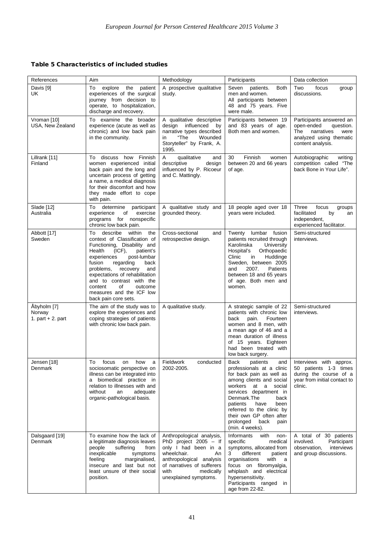# Table 5 Characteristics of included studies

| References                                   | Aim                                                                                                                                                                                                                                                                                                                                                                           | Methodology                                                                                                                                                                                               | Participants                                                                                                                                                                                                                                                                                                           | Data collection                                                                                                                  |
|----------------------------------------------|-------------------------------------------------------------------------------------------------------------------------------------------------------------------------------------------------------------------------------------------------------------------------------------------------------------------------------------------------------------------------------|-----------------------------------------------------------------------------------------------------------------------------------------------------------------------------------------------------------|------------------------------------------------------------------------------------------------------------------------------------------------------------------------------------------------------------------------------------------------------------------------------------------------------------------------|----------------------------------------------------------------------------------------------------------------------------------|
| Davis [9]<br>UK                              | To<br>explore<br>patient<br>the<br>experiences of the surgical<br>journey from decision to<br>operate, to hospitalization,<br>discharge and recovery.                                                                                                                                                                                                                         | A prospective qualitative<br>study.                                                                                                                                                                       | Seven<br>patients.<br><b>Both</b><br>men and women.<br>All participants between<br>48 and 75 years. Five<br>were male.                                                                                                                                                                                                 | Two<br>focus<br>group<br>discussions.                                                                                            |
| Vroman [10]<br>USA, New Zealand              | To examine the broader<br>experience (acute as well as<br>chronic) and low back pain<br>in the community.                                                                                                                                                                                                                                                                     | A qualitative descriptive<br>design influenced by<br>narrative types described<br>"The<br>Wounded<br>in<br>Storyteller" by Frank, A.<br>1995.                                                             | Participants between 19<br>and 83 years of age.<br>Both men and women.                                                                                                                                                                                                                                                 | Participants answered an<br>open-ended<br>question.<br>The<br>narratives<br>were<br>analyzed using thematic<br>content analysis. |
| Lillrank [11]<br>Finland                     | To discuss how Finnish<br>women experienced initial<br>back pain and the long and<br>uncertain process of getting<br>a name, a medical diagnosis<br>for their discomfort and how<br>they made effort to cope<br>with pain.                                                                                                                                                    | A<br>qualitative<br>and<br>descriptive<br>design<br>influenced by P. Ricoeur<br>and C. Mattingly.                                                                                                         | Finnish<br>30<br>women<br>between 20 and 66 years<br>of age.                                                                                                                                                                                                                                                           | Autobiographic<br>writing<br>competition called "The<br>back Bone in Your Life".                                                 |
| Slade [12]<br>Australia                      | determine<br>To<br>participant<br>of<br>experience<br>exercise<br>programs for nonspecific<br>chronic low back pain.                                                                                                                                                                                                                                                          | A qualitative study and<br>grounded theory.                                                                                                                                                               | 18 people aged over 18<br>years were included.                                                                                                                                                                                                                                                                         | Three<br>focus<br>groups<br>facilitated<br>by<br>an<br>independent,<br>experienced facilitator.                                  |
| Abbott [17]<br>Sweden                        | describe<br>To<br>within<br>the<br>context of Classification of<br>Functioning, Disability and<br>Health<br>$(ICF)$ ,<br>patient's<br>experiences<br>post-lumbar<br>fusion<br>regarding<br>back<br>problems,<br>recovery<br>and<br>expectations of rehabilitation<br>and to contrast with the<br>content<br>οf<br>outcome<br>measures and the ICF low<br>back pain core sets. | Cross-sectional<br>and<br>retrospective design.                                                                                                                                                           | Twenty<br>lumbar fusion<br>patients recruited through<br>Karolinska<br>University<br>Orthopaedic<br>Hospital's<br>Huddinge<br>Clinic<br>in<br>Sweden, between 2005<br>Patients<br>2007.<br>and<br>between 18 and 65 years<br>of age. Both men and<br>women.                                                            | Semi-structured<br>interviews.                                                                                                   |
| Åbyholm [7]<br>Norway<br>1. part $+2$ . part | The aim of the study was to<br>explore the experiences and<br>coping strategies of patients<br>with chronic low back pain.                                                                                                                                                                                                                                                    | A qualitative study.                                                                                                                                                                                      | A strategic sample of 22<br>patients with chronic low<br>back<br>pain.<br>Fourteen<br>women and 8 men, with<br>a mean age of 46 and a<br>mean duration of illness<br>of 15 years. Eighteen<br>had been treated with<br>low back surgery.                                                                               | Semi-structured<br>interviews.                                                                                                   |
| Jensen [18]<br>Denmark                       | To<br>focus<br>how<br>a<br>on<br>sociosomatic perspective on<br>illness can be integrated into<br>a biomedical practice in<br>relation to illnesses with and<br>an<br>without<br>adequate<br>organic-pathological basis.                                                                                                                                                      | Fieldwork<br>conducted<br>2002-2005.                                                                                                                                                                      | Back<br>patients<br>and<br>professionals at a clinic<br>for back pain as well as<br>among clients and social<br>workers at a social<br>services department in<br>Denmark.The<br>back<br>patients<br>have<br>been<br>referred to the clinic by<br>their own GP often after<br>prolonged back<br>pain<br>(min. 4 weeks). | Interviews with approx.<br>50 patients 1-3 times<br>during the course of a<br>year from initial contact to<br>clinic.            |
| Dalsgaard [19]<br>Denmark                    | To examine how the lack of<br>a legitimate diagnosis leaves<br>people<br>suffering<br>from<br>inexplicable<br>symptoms<br>feeling<br>marginalised,<br>insecure and last but not<br>least unsure of their social<br>position.                                                                                                                                                  | Anthropological analysis,<br>PhD project $2005 - If$<br>only I had been in a<br>wheelchair.<br>An<br>anthropological analysis<br>of narratives of sufferers<br>with<br>medically<br>unexplained symptoms. | Informants<br>with non-<br>specific<br>medical<br>symptoms, allocated from<br>different<br>3<br>patient<br>organisations<br>with<br>a a<br>focus on fibromyalgia,<br>whiplash and electrical<br>hypersensitivity.<br>Participants ranged in<br>age from 22-82.                                                         | A total of 30 patients<br>involved.<br>Participant<br>interviews<br>observation,<br>and group discussions.                       |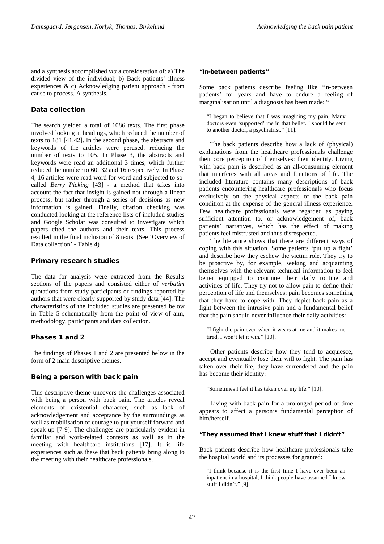and a synthesis accomplished *via* a consideration of: a) The divided view of the individual; b) Back patients' illness experiences & c) Acknowledging patient approach - from cause to process. A synthesis.

### Data collection

The search yielded a total of 1086 texts. The first phase involved looking at headings, which reduced the number of texts to 181 [41,42]. In the second phase, the abstracts and keywords of the articles were perused, reducing the number of texts to 105. In Phase 3, the abstracts and keywords were read an additional 3 times, which further reduced the number to 60, 32 and 16 respectively. In Phase 4, 16 articles were read word for word and subjected to socalled *Berry Picking* [43] - a method that takes into account the fact that insight is gained not through a linear process, but rather through a series of decisions as new information is gained. Finally, citation checking was conducted looking at the reference lists of included studies and Google Scholar was consulted to investigate which papers cited the authors and their texts. This process resulted in the final inclusion of 8 texts. (See 'Overview of Data collection' - Table 4)

### Primary research studies

The data for analysis were extracted from the Results sections of the papers and consisted either of *verbatim* quotations from study participants or findings reported by authors that were clearly supported by study data [44]. The characteristics of the included studies are presented below in Table 5 schematically from the point of view of aim, methodology, participants and data collection.

### Phases 1 and 2

The findings of Phases 1 and 2 are presented below in the form of 2 main descriptive themes.

### Being a person with back pain

This descriptive theme uncovers the challenges associated with being a person with back pain. The articles reveal elements of existential character, such as lack of acknowledgement and acceptance by the surroundings as well as mobilisation of courage to put yourself forward and speak up [7-9]. The challenges are particularly evident in familiar and work-related contexts as well as in the meeting with healthcare institutions [17]. It is life experiences such as these that back patients bring along to the meeting with their healthcare professionals.

#### "In-between patients"

Some back patients describe feeling like 'in-between patients' for years and have to endure a feeling of marginalisation until a diagnosis has been made: "

"I began to believe that I was imagining my pain. Many doctors even 'supported' me in that belief. I should be sent to another doctor, a psychiatrist." [11].

The back patients describe how a lack of (physical) explanations from the healthcare professionals challenge their core perception of themselves: their identity. Living with back pain is described as an all-consuming element that interferes with all areas and functions of life. The included literature contains many descriptions of back patients encountering healthcare professionals who focus exclusively on the physical aspects of the back pain condition at the expense of the general illness experience. Few healthcare professionals were regarded as paying sufficient attention to, or acknowledgement of, back patients' narratives, which has the effect of making patients feel mistrusted and thus disrespected.

The literature shows that there are different ways of coping with this situation. Some patients 'put up a fight' and describe how they eschew the victim role. They try to be proactive by, for example, seeking and acquainting themselves with the relevant technical information to feel better equipped to continue their daily routine and activities of life. They try not to allow pain to define their perception of life and themselves; pain becomes something that they have to cope with. They depict back pain as a fight between the intrusive pain and a fundamental belief that the pain should never influence their daily activities:

"I fight the pain even when it wears at me and it makes me tired, I won't let it win." [10].

Other patients describe how they tend to acquiesce, accept and eventually lose their will to fight. The pain has taken over their life, they have surrendered and the pain has become their identity:

"Sometimes I feel it has taken over my life." [10].

Living with back pain for a prolonged period of time appears to affect a person's fundamental perception of him/herself.

#### "They assumed that I knew stuff that I didn't"

Back patients describe how healthcare professionals take the hospital world and its processes for granted:

"I think because it is the first time I have ever been an inpatient in a hospital, I think people have assumed I knew stuff I didn't." [9].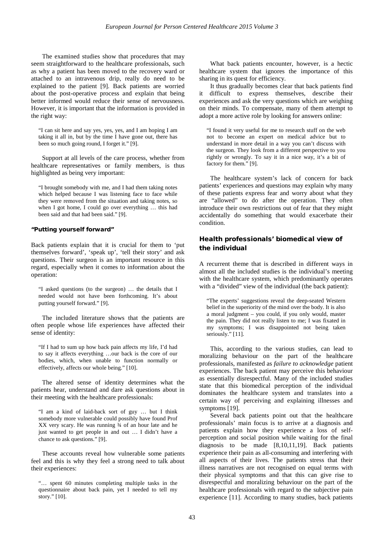The examined studies show that procedures that may seem straightforward to the healthcare professionals, such as why a patient has been moved to the recovery ward or attached to an intravenous drip, really do need to be explained to the patient [9]. Back patients are worried about the post-operative process and explain that being better informed would reduce their sense of nervousness. However, it is important that the information is provided in the right way:

"I can sit here and say yes, yes, yes, and I am hoping I am taking it all in, but by the time I have gone out, there has been so much going round, I forget it." [9].

Support at all levels of the care process, whether from healthcare representatives or family members, is thus highlighted as being very important:

"I brought somebody with me, and I had them taking notes which helped because I was listening face to face while they were removed from the situation and taking notes, so when I got home, I could go over everything … this had been said and that had been said." [9].

#### "Putting yourself forward"

Back patients explain that it is crucial for them to 'put themselves forward', 'speak up', 'tell their story' and ask questions. Their surgeon is an important resource in this regard, especially when it comes to information about the operation:

"I asked questions (to the surgeon) … the details that I needed would not have been forthcoming. It's about putting yourself forward." [9].

The included literature shows that the patients are often people whose life experiences have affected their sense of identity:

"If I had to sum up how back pain affects my life, I'd had to say it affects everything …our back is the core of our bodies, which, when unable to function normally or effectively, affects our whole being." [10].

The altered sense of identity determines what the patients hear, understand and dare ask questions about in their meeting with the healthcare professionals:

"I am a kind of laid-back sort of guy … but I think somebody more vulnerable could possibly have found Prof XX very scary. He was running ¾ of an hour late and he just wanted to get people in and out … I didn't have a chance to ask questions." [9].

These accounts reveal how vulnerable some patients feel and this is why they feel a strong need to talk about their experiences:

"… spent 60 minutes completing multiple tasks in the questionnaire about back pain, yet I needed to tell my story." [10].

What back patients encounter, however, is a hectic healthcare system that ignores the importance of this sharing in its quest for efficiency.

It thus gradually becomes clear that back patients find it difficult to express themselves, describe their experiences and ask the very questions which are weighing on their minds. To compensate, many of them attempt to adopt a more active role by looking for answers online:

"I found it very useful for me to research stuff on the web not to become an expert on medical advice but to understand in more detail in a way you can't discuss with the surgeon. They look from a different perspective to you rightly or wrongly. To say it in a nice way, it's a bit of factory for them." [9].

The healthcare system's lack of concern for back patients' experiences and questions may explain why many of these patients express fear and worry about what they are "allowed" to do after the operation. They often introduce their own restrictions out of fear that they might accidentally do something that would exacerbate their condition.

### Health professionals' biomedical view of the individual

A recurrent theme that is described in different ways in almost all the included studies is the individual's meeting with the healthcare system, which predominantly operates with a "divided" view of the individual (the back patient):

"The experts' suggestions reveal the deep-seated Western belief in the superiority of the mind over the body. It is also a moral judgment – you could, if you only would, master the pain. They did not really listen to me; I was fixated in my symptoms; I was disappointed not being taken seriously." [11].

This, according to the various studies, can lead to moralizing behaviour on the part of the healthcare professionals, manifested as *failure to acknowledge* patient experiences. The back patient may perceive this behaviour as essentially disrespectful. Many of the included studies state that this biomedical perception of the individual dominates the healthcare system and translates into a certain way of perceiving and explaining illnesses and symptoms [19].

Several back patients point out that the healthcare professionals' main focus is to arrive at a diagnosis and patients explain how they experience a loss of selfperception and social position while waiting for the final diagnosis to be made [8,10,11,19]. Back patients experience their pain as all-consuming and interfering with all aspects of their lives. The patients stress that their illness narratives are not recognised on equal terms with their physical symptoms and that this can give rise to disrespectful and moralizing behaviour on the part of the healthcare professionals with regard to the subjective pain experience [11]. According to many studies, back patients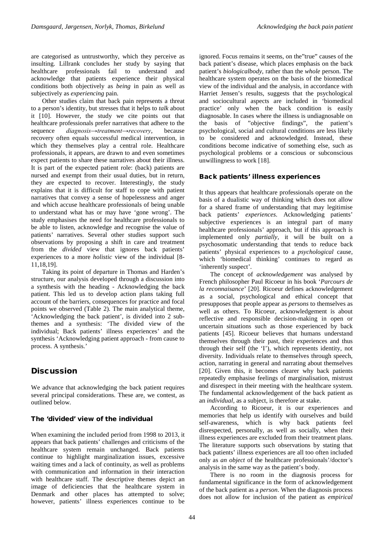are categorised as untrustworthy, which they perceive as insulting. Lillrank concludes her study by saying that healthcare professionals fail to understand and acknowledge that patients experience their physical conditions both objectively as *being* in pain as well as subjectively as *experiencing* pain.

Other studies claim that back pain represents a threat to a person's identity, but stresses that it helps to *talk* about it [10]. However, the study we cite points out that healthcare professionals prefer narratives that adhere to the sequence *diagnosis→treatment→recovery*, because recovery often equals successful medical intervention, in which they themselves play a central role. Healthcare professionals, it appears, are drawn to and even sometimes expect patients to share these narratives about their illness. It is part of the expected patient role: (back) patients are nursed and exempt from their usual duties, but in return, they are expected to recover. Interestingly, the study explains that it is difficult for staff to cope with patient narratives that convey a sense of hopelessness and anger and which accuse healthcare professionals of being unable to understand what has or may have 'gone wrong'. The study emphasises the need for healthcare professionals to be able to listen, acknowledge and recognise the value of patients' narratives. Several other studies support such observations by proposing a shift in care and treatment from the *divided* view that ignores back patients' experiences to a more *holistic* view of the individual [8- 11,18,19].

Taking its point of departure in Thomas and Harden's structure, our analysis developed through a discussion into a synthesis with the heading - Acknowledging the back patient. This led us to develop action plans taking full account of the barriers, consequences for practice and focal points we observed (Table 2). The main analytical theme, 'Acknowledging the back patient', is divided into 2 subthemes and a synthesis: 'The divided view of the individual; Back patients' illness experiences' and the synthesis 'Acknowledging patient approach - from cause to process. A synthesis.'

# **Discussion**

We advance that acknowledging the back patient requires several principal considerations. These are, we contest, as outlined below.

### The 'divided' view of the individual

When examining the included period from 1998 to 2013, it appears that back patients' challenges and criticisms of the healthcare system remain unchanged. Back patients continue to highlight marginalization issues, excessive waiting times and a lack of continuity, as well as problems with communication and information in their interaction with healthcare staff. The descriptive themes depict an image of deficiencies that the healthcare system in Denmark and other places has attempted to solve; however, patients' illness experiences continue to be

ignored. Focus remains it seems, on the"true" causes of the back patient's disease, which places emphasis on the back patient's *biologicalbody*, rather than the *whole* person. The healthcare system operates on the basis of the biomedical view of the individual and the analysis, in accordance with Harriet Jensen's results, suggests that the psychological and sociocultural aspects are included in 'biomedical practice' only when the back condition is easily diagnosable. In cases where the illness is undiagnosable on the basis of "objective findings", the patient's psychological, social and cultural conditions are less likely to be considered and acknowledged. Instead, these conditions become indicative of something else, such as psychological problems or a conscious or subconscious unwillingness to work [18].

### Back patients' illness experiences

It thus appears that healthcare professionals operate on the basis of a dualistic way of thinking which does not allow for a shared frame of understanding that may legitimise back patients' *experiences*. Acknowledging patients' subjective experiences is an integral part of many healthcare professionals' approach, but if this approach is implemented only *partially,* it will be built on a psychosomatic understanding that tends to reduce back patients' physical experiences to a *psychological* cause, which 'biomedical thinking' continues to regard as 'inherently suspect'.

The concept of *acknowledgement* was analysed by French philosopher Paul Ricoeur in his book '*Parcours de la reconnaisance*' [20]. Ricoeur defines acknowledgement as a social, psychological and ethical concept that presupposes that people appear as *persons* to themselves as well as others. To Ricoeur, acknowledgement is about reflective and responsible decision-making in open or uncertain situations such as those experienced by back patients [45]. Ricoeur believes that humans understand themselves through their past, their experiences and thus through their self (the 'I'), which represents identity, not diversity. Individuals relate to themselves through speech, action, narrating in general and narrating about themselves [20]. Given this, it becomes clearer why back patients repeatedly emphasise feelings of marginalisation, mistrust and disrespect in their meeting with the healthcare system. The fundamental acknowledgement of the back patient as an *individual,* as a subject, is therefore at stake.

According to Ricoeur, it is our experiences and memories that help us identify with ourselves and build self-awareness, which is why back patients feel disrespected, personally, as well as socially, when their illness experiences are excluded from their treatment plans. The literature supports such observations by stating that back patients' illness experiences are all too often included only as *an object* of the healthcare professionals'/doctor's analysis in the same way as the patient's body.

There is no room in the diagnosis process for fundamental significance in the form of acknowledgement of the back patient as a *person*. When the diagnosis process does not allow for inclusion of the patient as *empirical*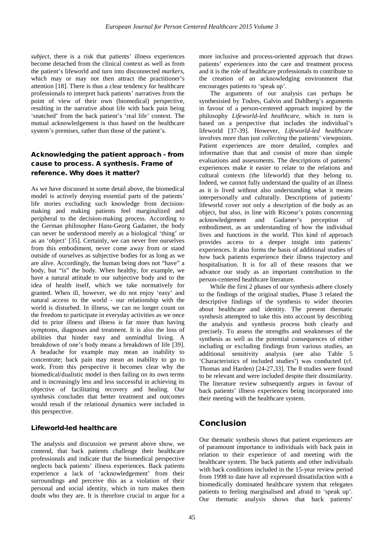*subject*, there is a risk that patients' illness experiences become detached from the clinical context as well as from the patient's lifeworld and turn into disconnected *markers*, which may or may not then attract the practitioner's attention [18]. There is thus a clear tendency for healthcare professionals to interpret back patients' narratives from the point of view of their own (biomedical) perspective, resulting in the narrative about life with back pain being 'snatched' from the back patient's 'real life' context*.* The mutual acknowledgement is thus based on the healthcare system's premises, rather than those of the patient's.

## Acknowledging the patient approach - from cause to process. A synthesis. Frame of reference. Why does it matter?

As we have discussed in some detail above, the biomedical model is actively denying essential parts of the patients' life stories excluding such knowledge from decisionmaking and making patients feel marginalized and peripheral to the decision-making process. According to the German philosopher Hans-Georg Gadamer, the body can never be understood merely as a biological 'thing' or as an 'object' [35]. Certainly, we can never free ourselves from this embodiment, never come away from or stand outside of ourselves as subjective bodies for as long as we are alive. Accordingly, the human being does not "have" a body, but "is" the body. When healthy, for example, we have a natural attitude to our subjective body and to the idea of health itself, which we take normatively for granted. When ill, however, we do not enjoy 'easy' and natural access to the world - our relationship with the world is disturbed. In illness, we can no longer count on the freedom to participate in everyday activities as we once did to prior illness and illness is far more than having symptoms, diagnoses and treatment. It is also the loss of abilities that hinder easy and unmindful living. A breakdown of one's body means a breakdown of life [39]. A headache for example may mean an inability to concentrate; back pain may mean an inability to go to work. From this perspective it becomes clear why the biomedical/dualistic model is then failing on its own terms and is increasingly less and less successful in achieving its objective of facilitating recovery and healing. Our synthesis concludes that better treatment and outcomes would result if the relational dynamics were included in this perspective.

### Lifeworld-led healthcare

The analysis and discussion we present above show, we contend, that back patients challenge their healthcare professionals and indicate that the biomedical perspective neglects back patients' illness experiences. Back patients experience a lack of 'acknowledgement' from their surroundings and perceive this as a violation of their personal and social identity, which in turn makes them doubt who they are. It is therefore crucial to argue for a more inclusive and process-oriented approach that draws patients' experiences into the care and treatment process and it is the role of healthcare professionals to contribute to the creation of an acknowledging environment that encourages patients to 'speak up'.

The arguments of our analysis can perhaps be synthesisied by Todres, Galvin and Dahlberg's arguments in favour of a person-centered approach inspired by the philosophy *Lifeworld-led healthcare,* which in turn is based on a perspective that includes the individual's lifeworld [37-39]. However, *Lifeworld-led healthcare* involves more than just *collecting* the patients' viewpoints. Patient experiences are more detailed, complex and informative than that and consist of more than simple evaluations and assessments. The descriptions of patients' experiences make it easier to relate to the relations and cultural contexts (the lifeworld) that they belong to. Indeed, we cannot fully understand the quality of an illness as it is lived without also understanding what it means interpersonally and culturally. Descriptions of patients' lifeworld cover not only a description of the body as an object, but also, in line with Ricoeur's points concerning acknowledgement and Gadamer's perception of embodiment, as an understanding of how the individual lives and functions in the world. This kind of approach provides access to a deeper insight into patients' experiences. It also forms the basis of additional studies of how back patients experience their illness trajectory and hospitalisation. It is for all of these reasons that we advance our study as an important contribution to the person-centered healthcare literature.

While the first 2 phases of our synthesis adhere closely to the findings of the original studies, Phase 3 related the descriptive findings of the synthesis to wider theories about healthcare and identity. The present thematic synthesis attempted to take this into account by describing the analysis and synthesis process both clearly and precisely. To assess the strengths and weaknesses of the synthesis as well as the potential consequences of either including or excluding findings from various studies, an additional sensitivity analysis (see also Table 5 'Characteristics of included studies') was conducted (cf. Thomas and Harden) [24-27,33]. The 8 studies were found to be relevant and were included despite their dissimilarity. The literature review subsequently argues in favour of back patients' illness experiences being incorporated into their meeting with the healthcare system.

# Conclusion

Our thematic synthesis shows that patient experiences are of paramount importance to individuals with back pain in relation to their experience of and meeting with the healthcare system. The back patients and other individuals with back conditions included in the 15-year review period from 1998 to date have all expressed dissatisfaction with a biomedically dominated healthcare system that relegates patients to feeling marginalised and afraid to 'speak up'. Our thematic analysis shows that back patients'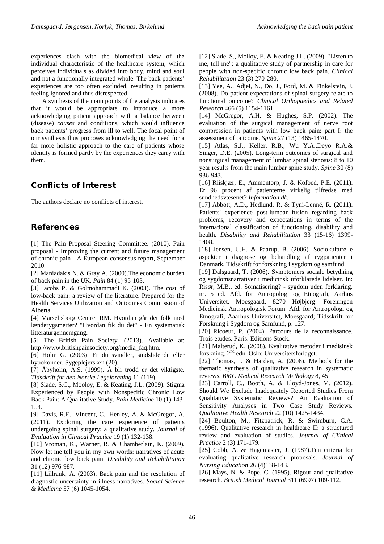experiences clash with the biomedical view of the individual characteristic of the healthcare system, which perceives individuals as divided into body, mind and soul and not a functionally integrated whole. The back patients' experiences are too often excluded, resulting in patients feeling ignored and thus disrespected.

A synthesis of the main points of the analysis indicates that it would be appropriate to introduce a more acknowledging patient approach with a balance between (disease) *causes* and conditions, which would influence back patients' progress from ill to well. The focal point of our synthesis thus proposes acknowledging the need for a far more holistic approach to the care of patients whose identity is formed partly by the experiences they carry with them.

# Conflicts of Interest

The authors declare no conflicts of interest.

# References

[1] The Pain Proposal Steering Committee. (2010). Pain proposal - Improving the current and future management of chronic pain - A European consensus report, September 2010.

[2] Maniadakis N. & Gray A. (2000).The economic burden of back pain in the UK. *Pain* 84 (1) 95-103.

[3] Jacobs P. & Golmohammadi K. (2003). The cost of low-back pain: a review of the literature. Prepared for the Health Services Utilization and Outcomes Commission of Alberta.

[4] Marselisborg Centret RM. Hvordan går det folk med lænderygsmerter? "Hvordan fik du det" - En systematisk litteraturgennemgang.

[5] The British Pain Society. (2013). Available at: http://www.britishpainsociety.org/media\_faq.htm.

[6] Holm G. (2003). Er du svindler, sindslidende eller hypokonder. Sygeplejersken (20).

[7] Åbyholm, A.S. (1999). Å bli trodd er det viktigste. *Tidsskrift for den Norske Legeforening* 11 (119).

[8] Slade, S.C., Mooloy, E. & Keating, J.L. (2009). Stigma Experienced by People with Nonspecific Chronic Low Back Pain: A Qualitative Study. *Pain Medicine* 10 (1) 143- 154.

[9] Davis, R.E., Vincent, C., Henley, A. & McGregor, A. (2011). Exploring the care experience of patients undergoing spinal surgery: a qualitative study. *Journal of Evaluation in Clinical Practice* 19 (1) 132-138.

[10] Vroman, K., Warner, R. & Chamberlain, K. (2009). Now let me tell you in my own words: narratives of acute and chronic low back pain. *Disability and Rehabilitation* 31 (12) 976-987.

[11] Lillrank, A. (2003). Back pain and the resolution of diagnostic uncertainty in illness narratives. *Social Science & Medicine* 57 (6) 1045-1054.

[12] Slade, S., Molloy, E. & Keating J.L. (2009). "Listen to me, tell me": a qualitative study of partnership in care for people with non-specific chronic low back pain. *Clinical Rehabilitation* 23 (3) 270-280.

[13] Yee, A., Adjei, N., Do, J., Ford, M. & Finkelstein, J. (2008). Do patient expectations of spinal surgery relate to functional outcome? *Clinical Orthopaedics and Related Research* 466 (5) 1154-1161.

[14] McGregor, A.H. & Hughes, S.P. (2002). The evaluation of the surgical management of nerve root compression in patients with low back pain: part I: the assessment of outcome. *Spine* 27 (13) 1465-1470.

[15] Atlas, S.J., Keller, R.B., Wu Y.A.,Deyo R.A.& Singer, D.E. (2005). Long-term outcomes of surgical and nonsurgical management of lumbar spinal stenosis: 8 to 10 year results from the main lumbar spine study. *Spine* 30 (8) 936-943.

[16] Riiskjær, E., Ammentorp, J. & Kofoed, P.E. (2011). Er 96 procent af patienterne virkelig tilfredse med sundhedsvæsenet? *Information*.*dk.*

[17] Abbott, A.D., Hedlund, R. & Tyni-Lenné, R. (2011). Patients' experience post-lumbar fusion regarding back problems, recovery and expectations in terms of the international classification of functioning, disability and health. *Disability and Rehabilitation* 33 (15-16) 1399- 1408.

[18] Jensen, U.H. & Paarup, B. (2006). Sociokulturelle aspekter i diagnose og behandling af rygpatienter i Danmark. Tidsskrift for forskning i sygdom og samfund.

[19] Dalsgaard, T. (2006). Symptomers sociale betydning og sygdomsnarrativer i medicinsk uforklarede lidelser. In: Risør, M.B., ed. Somatisering? - sygdom uden forklaring. nr. 5 ed. Afd. for Antropologi og Etnografi, Aarhus Universitet, Moesgaard, 8270 Højbjerg: Foreningen Medicinsk Antropologisk Forum. Afd. for Antropologi og Etnografi, Aaarhus Universitet, Moesgaard; Tidsskrift for Forskning i Sygdom og Samfund, p. 127.

[20] Ricoeur, P. (2004). Parcours de la reconnaissance. Trois etudes. Paris: Editions Stock.

[21] Malterud, K. (2008). Kvalitative metoder i medisinsk forskning.  $2<sup>nd</sup>$  edn. Oslo: Universitetsforlaget.

[22] Thomas, J. & Harden, A. (2008). Methods for the thematic synthesis of qualitative research in systematic reviews. *BMC Medical Research Methology* 8, 45.

[23] Carroll, C., Booth, A. & Lloyd-Jones, M. (2012). Should We Exclude Inadequately Reported Studies From Qualitative Systematic Reviews? An Evaluation of Sensitivity Analyses in Two Case Study Reviews. *Qualitative Health Research* 22 (10) 1425-1434.

[24] Boulton, M., Fitzpatrick, R. & Swimburn, C.A. (1996). Qualitative research in healthcare II: a structured review and evaluation of studies. *Journal of Clinical Practice* 2 (3) 171-179.

[25] Cobb, A. & Hagemaster, J. (1987).Ten criteria for evaluating qualitative research proposals. *Journal of Nursing Education* 26 (4)138-143.

[26] Mays, N. & Pope, C. (1995). Rigour and qualitative research. *British Medical Journal* 311 (6997) 109-112.